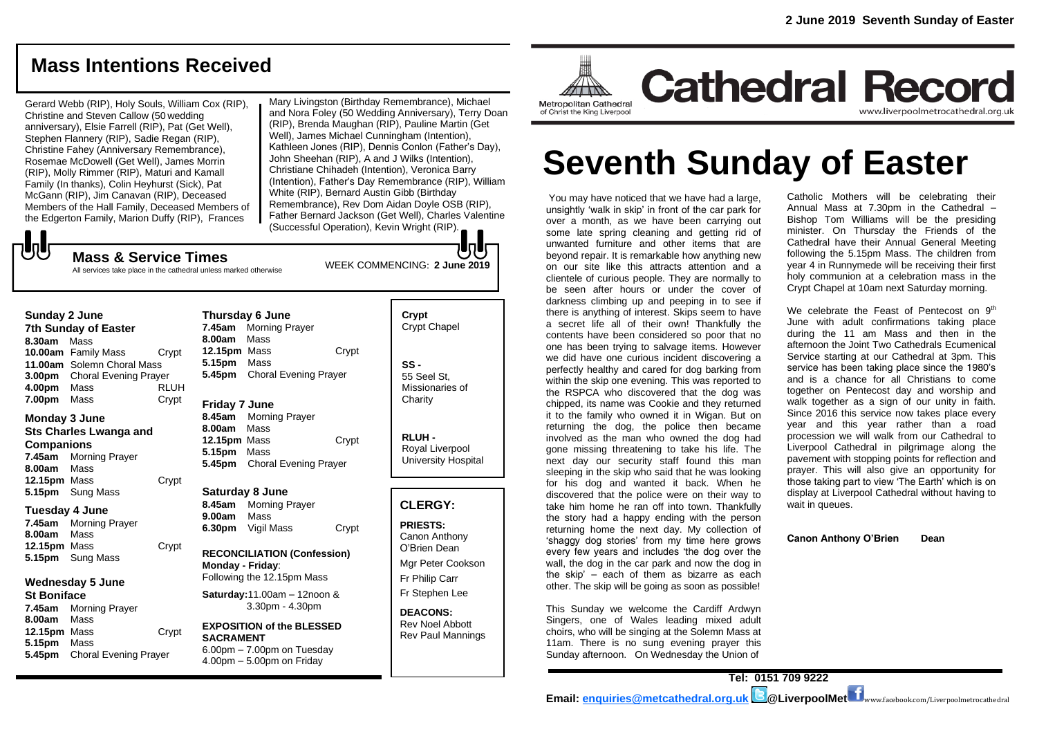# **Mass Intentions Received**

Gerard Webb (RIP), Holy Souls, William Cox (RIP), Christine and Steven Callow (50 wedding anniversary), Elsie Farrell (RIP), Pat (Get Well), Stephen Flannery (RIP), Sadie Regan (RIP), Christine Fahey (Anniversary Remembrance), Rosemae McDowell (Get Well), James Morrin (RIP), Molly Rimmer (RIP), Maturi and Kamall Family (In thanks), Colin Heyhurst (Sick), Pat McGann (RIP), Jim Canavan (RIP), Deceased Members of the Hall Family, Deceased Members of the Edgerton Family, Marion Duffy (RIP), Frances

Mary Livingston (Birthday Remembrance), Michael and Nora Foley (50 Wedding Anniversary), Terry Doan (RIP), Brenda Maughan (RIP), Pauline Martin (Get Well), James Michael Cunningham (Intention), Kathleen Jones (RIP), Dennis Conlon (Father's Day), John Sheehan (RIP), A and J Wilks (Intention), Christiane Chihadeh (Intention), Veronica Barry (Intention), Father's Day Remembrance (RIP), William White (RIP), Bernard Austin Gibb (Birthday Remembrance), Rev Dom Aidan Doyle OSB (RIP), Father Bernard Jackson (Get Well), Charles Valentine (Successful Operation), Kevin Wright (RIP).

WEEK COMMENCING: **2 June 2019**

JJ

**Mass & Service Times**

#### All services take place in the cathedral unless marked otherwise

**Sunday 2 June 7th Sunday of Easter**

**8.30am** Mass **10.00am** Family Mass Crypt **11.00am** Solemn Choral Mass **3.00pm** Choral Evening Prayer **4.00pm** Mass RLUH **7.00pm** Mass Crypt

# **Monday 3 June**

**Sts Charles Lwanga and Companions**

**7.45am** Morning Prayer

**8.00am** Mass 12.15pm Mass Crypt

**5.15pm** Sung Mass

#### **Tuesday 4 June**

**7.45am** Morning Prayer **8.00am** Mass **12.15pm** Mass Crypt **5.15pm** Sung Mass

# **Wednesday 5 June**

**St Boniface 7.45am** Morning Prayer **8.00am** Mass **12.15pm** Mass Crypt **5.15pm** Mass **5.45pm** Choral Evening Prayer

**Thursday 6 June 7.45am** Morning Prayer **8.00am** Mass **12.15pm** Mass Crypt **5.15pm** Mass **5.45pm** Choral Evening Prayer **Friday 7 June 8.45am** Morning Prayer **8.00am** Mass

**12.15pm** Mass Crypt **5.15pm** Mass **5.45pm** Choral Evening Prayer

#### **Saturday 8 June 8.45am** Morning Prayer **9.00am** Mass

**6.30pm** Vigil Mass Crypt

**RECONCILIATION (Confession) Monday - Friday**: Following the 12.15pm Mass

**Saturday:**11.00am – 12noon & 3.30pm - 4.30pm

#### **EXPOSITION of the BLESSED SACRAMENT**  $6.00<sub>pm</sub> - 7.00<sub>pm</sub>$  on Tuesday 4.00pm – 5.00pm on Friday

| Crypt<br><b>Crypt Chapel</b>                      |
|---------------------------------------------------|
| SS -<br>55 Seel St.<br>Missionaries of<br>Charity |

**RLUH -** Royal Liverpool University Hospital

#### **CLERGY:**

**PRIESTS:** Canon Anthony O'Brien *Dean*

Mgr Peter Cookson Fr Philip Carr Fr Stephen Lee

**DEACONS:** Rev Noel Abbott Rev Paul Mannings



**Cathedral Record** www.liverpoolmetrocathedral.org.uk

# **Seventh Sunday of Easter**

You may have noticed that we have had a large, unsightly 'walk in skip' in front of the car park for over a month, as we have been carrying out some late spring cleaning and getting rid of unwanted furniture and other items that are beyond repair. It is remarkable how anything new on our site like this attracts attention and a clientele of curious people. They are normally to be seen after hours or under the cover of darkness climbing up and peeping in to see if there is anything of interest. Skips seem to have a secret life all of their own! Thankfully the contents have been considered so poor that no one has been trying to salvage items. However we did have one curious incident discovering a perfectly healthy and cared for dog barking from within the skip one evening. This was reported to the RSPCA who discovered that the dog was chipped, its name was Cookie and they returned it to the family who owned it in Wigan. But on returning the dog, the police then became involved as the man who owned the dog had gone missing threatening to take his life. The next day our security staff found this man sleeping in the skip who said that he was looking for his dog and wanted it back. When he discovered that the police were on their way to take him home he ran off into town. Thankfully the story had a happy ending with the person returning home the next day. My collection of 'shaggy dog stories' from my time here grows every few years and includes 'the dog over the wall, the dog in the car park and now the dog in the skip' – each of them as bizarre as each other. The skip will be going as soon as possible!

This Sunday we welcome the Cardiff Ardwyn Singers, one of Wales leading mixed adult choirs, who will be singing at the Solemn Mass at 11am. There is no sung evening praver this Sunday afternoon. On Wednesday the Union of

Catholic Mothers will be celebrating their Annual Mass at 7.30pm in the Cathedral – Bishop Tom Williams will be the presiding minister. On Thursday the Friends of the Cathedral have their Annual General Meeting following the 5.15pm Mass. The children from year 4 in Runnymede will be receiving their first holy communion at a celebration mass in the Crypt Chapel at 10am next Saturday morning.

We celebrate the Feast of Pentecost on  $9<sup>th</sup>$ June with adult confirmations taking place during the 11 am Mass and then in the afternoon the Joint Two Cathedrals Ecumenical Service starting at our Cathedral at 3pm. This service has been taking place since the 1980's and is a chance for all Christians to come together on Pentecost day and worship and walk together as a sign of our unity in faith. Since 2016 this service now takes place every year and this year rather than a road procession we will walk from our Cathedral to Liverpool Cathedral in pilgrimage along the pavement with stopping points for reflection and prayer. This will also give an opportunity for those taking part to view 'The Earth' which is on display at Liverpool Cathedral without having to wait in queues.

**Canon Anthony O'Brien Dean**